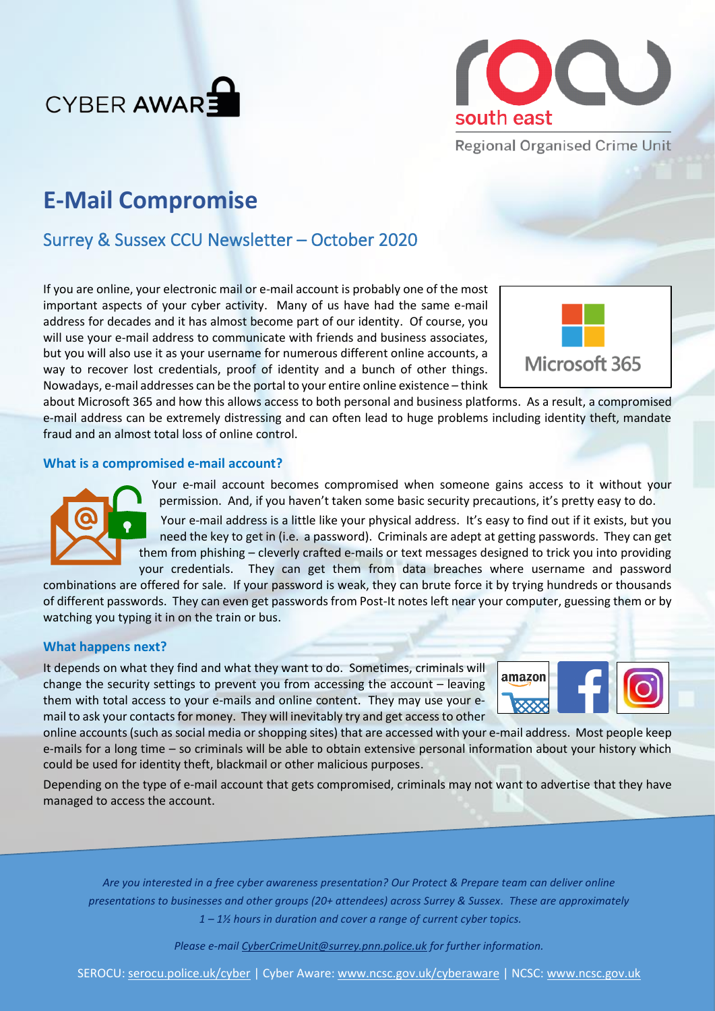



# **E-Mail Compromise**

## Surrey & Sussex CCU Newsletter – October 2020

If you are online, your electronic mail or e-mail account is probably one of the most important aspects of your cyber activity. Many of us have had the same e-mail address for decades and it has almost become part of our identity. Of course, you will use your e-mail address to communicate with friends and business associates, but you will also use it as your username for numerous different online accounts, a way to recover lost credentials, proof of identity and a bunch of other things. Nowadays, e-mail addresses can be the portal to your entire online existence – think



about Microsoft 365 and how this allows access to both personal and business platforms. As a result, a compromised e-mail address can be extremely distressing and can often lead to huge problems including identity theft, mandate fraud and an almost total loss of online control.

### **What is a compromised e-mail account?**



Your e-mail account becomes compromised when someone gains access to it without your permission. And, if you haven't taken some basic security precautions, it's pretty easy to do.

Your e-mail address is a little like your physical address. It's easy to find out if it exists, but you need the key to get in (i.e. a password). Criminals are adept at getting passwords. They can get them from phishing – cleverly crafted e-mails or text messages designed to trick you into providing your credentials. They can get them from data breaches where username and password

combinations are offered for sale. If your password is weak, they can brute force it by trying hundreds or thousands of different passwords. They can even get passwords from Post-It notes left near your computer, guessing them or by watching you typing it in on the train or bus.

### **What happens next?**

It depends on what they find and what they want to do. Sometimes, criminals will change the security settings to prevent you from accessing the account – leaving them with total access to your e-mails and online content. They may use your email to ask your contacts for money. They will inevitably try and get access to other



online accounts (such as social media or shopping sites) that are accessed with your e-mail address. Most people keep e-mails for a long time – so criminals will be able to obtain extensive personal information about your history which could be used for identity theft, blackmail or other malicious purposes.

Depending on the type of e-mail account that gets compromised, criminals may not want to advertise that they have managed to access the account.

*Are you interested in a free cyber awareness presentation? Our Protect & Prepare team can deliver online presentations to businesses and other groups (20+ attendees) across Surrey & Sussex. These are approximately 1 – 1½ hours in duration and cover a range of current cyber topics.* 

*Please e-mail [CyberCrimeUnit@surrey.pnn.police.uk](mailto:CyberCrimeUnit@surrey.pnn.police.uk) for further information.*